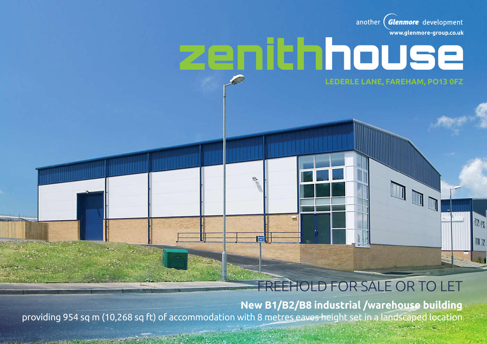Glenmore development another **www.glenmore-group.co.uk**

Da

**NR** 

**Lederle Lane, FAreham, PO13 0FZ**

zenithhouse

## Freehold For Sale or To let

**New B1/B2/B8 industrial /warehouse building** providing 954 sq m (10,268 sq ft) of accommodation with 8 metres eaves height set in a landscaped location

The Second Committee of the Committee of the Committee of the Committee of the Committee of the Committee of the Committee of the Committee of the Committee of the Committee of the Committee of the Committee of the Committ

'nλ.